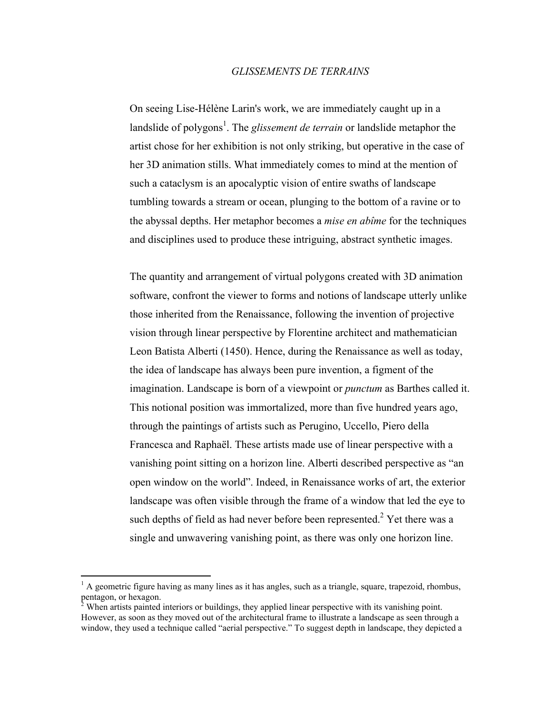## *GLISSEMENTS DE TERRAINS*

On seeing Lise-Hélène Larin's work, we are immediately caught up in a landslide of polygons<sup>1</sup>. The *glissement de terrain* or landslide metaphor the artist chose for her exhibition is not only striking, but operative in the case of her 3D animation stills. What immediately comes to mind at the mention of such a cataclysm is an apocalyptic vision of entire swaths of landscape tumbling towards a stream or ocean, plunging to the bottom of a ravine or to the abyssal depths. Her metaphor becomes a *mise en abîme* for the techniques and disciplines used to produce these intriguing, abstract synthetic images.

The quantity and arrangement of virtual polygons created with 3D animation software, confront the viewer to forms and notions of landscape utterly unlike those inherited from the Renaissance, following the invention of projective vision through linear perspective by Florentine architect and mathematician Leon Batista Alberti (1450). Hence, during the Renaissance as well as today, the idea of landscape has always been pure invention, a figment of the imagination. Landscape is born of a viewpoint or *punctum* as Barthes called it. This notional position was immortalized, more than five hundred years ago, through the paintings of artists such as Perugino, Uccello, Piero della Francesca and Raphaël. These artists made use of linear perspective with a vanishing point sitting on a horizon line. Alberti described perspective as "an open window on the world". Indeed, in Renaissance works of art, the exterior landscape was often visible through the frame of a window that led the eye to such depths of field as had never before been represented.<sup>2</sup> Yet there was a single and unwavering vanishing point, as there was only one horizon line.

 $\frac{1}{1}$ <sup>1</sup> A geometric figure having as many lines as it has angles, such as a triangle, square, trapezoid, rhombus, pentagon, or hexagon.<br><sup>2</sup> When artists painted interiors or buildings, they applied linear perspective with its vanishing point.

However, as soon as they moved out of the architectural frame to illustrate a landscape as seen through a window, they used a technique called "aerial perspective." To suggest depth in landscape, they depicted a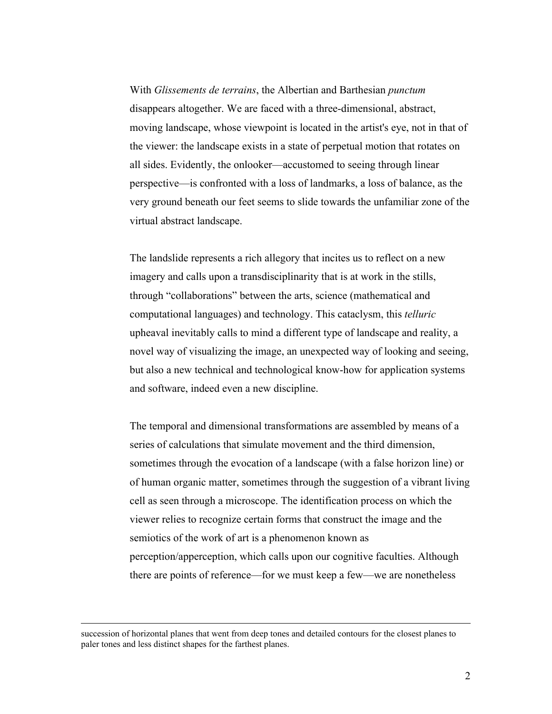With *Glissements de terrains*, the Albertian and Barthesian *punctum* disappears altogether. We are faced with a three-dimensional, abstract, moving landscape, whose viewpoint is located in the artist's eye, not in that of the viewer: the landscape exists in a state of perpetual motion that rotates on all sides. Evidently, the onlooker—accustomed to seeing through linear perspective—is confronted with a loss of landmarks, a loss of balance, as the very ground beneath our feet seems to slide towards the unfamiliar zone of the virtual abstract landscape.

The landslide represents a rich allegory that incites us to reflect on a new imagery and calls upon a transdisciplinarity that is at work in the stills, through "collaborations" between the arts, science (mathematical and computational languages) and technology. This cataclysm, this *telluric* upheaval inevitably calls to mind a different type of landscape and reality, a novel way of visualizing the image, an unexpected way of looking and seeing, but also a new technical and technological know-how for application systems and software, indeed even a new discipline.

The temporal and dimensional transformations are assembled by means of a series of calculations that simulate movement and the third dimension, sometimes through the evocation of a landscape (with a false horizon line) or of human organic matter, sometimes through the suggestion of a vibrant living cell as seen through a microscope. The identification process on which the viewer relies to recognize certain forms that construct the image and the semiotics of the work of art is a phenomenon known as perception/apperception, which calls upon our cognitive faculties. Although there are points of reference—for we must keep a few—we are nonetheless

succession of horizontal planes that went from deep tones and detailed contours for the closest planes to paler tones and less distinct shapes for the farthest planes.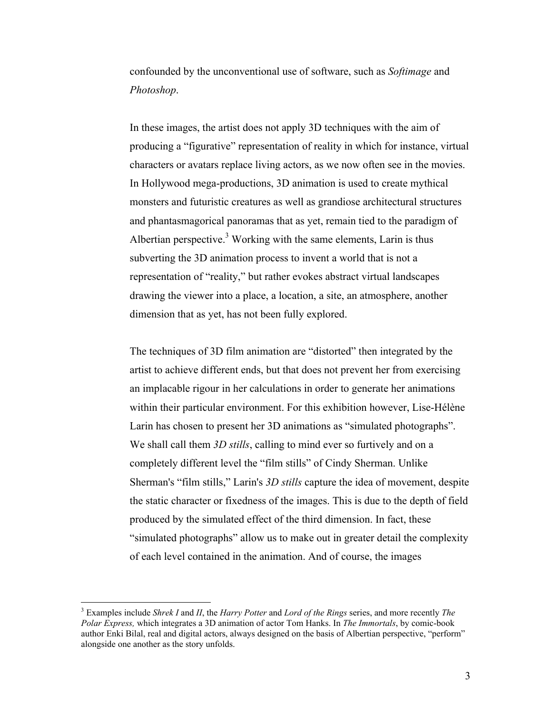confounded by the unconventional use of software, such as *Softimage* and *Photoshop*.

In these images, the artist does not apply 3D techniques with the aim of producing a "figurative" representation of reality in which for instance, virtual characters or avatars replace living actors, as we now often see in the movies. In Hollywood mega-productions, 3D animation is used to create mythical monsters and futuristic creatures as well as grandiose architectural structures and phantasmagorical panoramas that as yet, remain tied to the paradigm of Albertian perspective.<sup>3</sup> Working with the same elements, Larin is thus subverting the 3D animation process to invent a world that is not a representation of "reality," but rather evokes abstract virtual landscapes drawing the viewer into a place, a location, a site, an atmosphere, another dimension that as yet, has not been fully explored.

The techniques of 3D film animation are "distorted" then integrated by the artist to achieve different ends, but that does not prevent her from exercising an implacable rigour in her calculations in order to generate her animations within their particular environment. For this exhibition however, Lise-Hélène Larin has chosen to present her 3D animations as "simulated photographs". We shall call them *3D stills*, calling to mind ever so furtively and on a completely different level the "film stills" of Cindy Sherman. Unlike Sherman's "film stills," Larin's *3D stills* capture the idea of movement, despite the static character or fixedness of the images. This is due to the depth of field produced by the simulated effect of the third dimension. In fact, these "simulated photographs" allow us to make out in greater detail the complexity of each level contained in the animation. And of course, the images

 <sup>3</sup> Examples include *Shrek I* and *II*, the *Harry Potter* and *Lord of the Rings* series, and more recently *The Polar Express,* which integrates a 3D animation of actor Tom Hanks. In *The Immortals*, by comic-book author Enki Bilal, real and digital actors, always designed on the basis of Albertian perspective, "perform" alongside one another as the story unfolds.